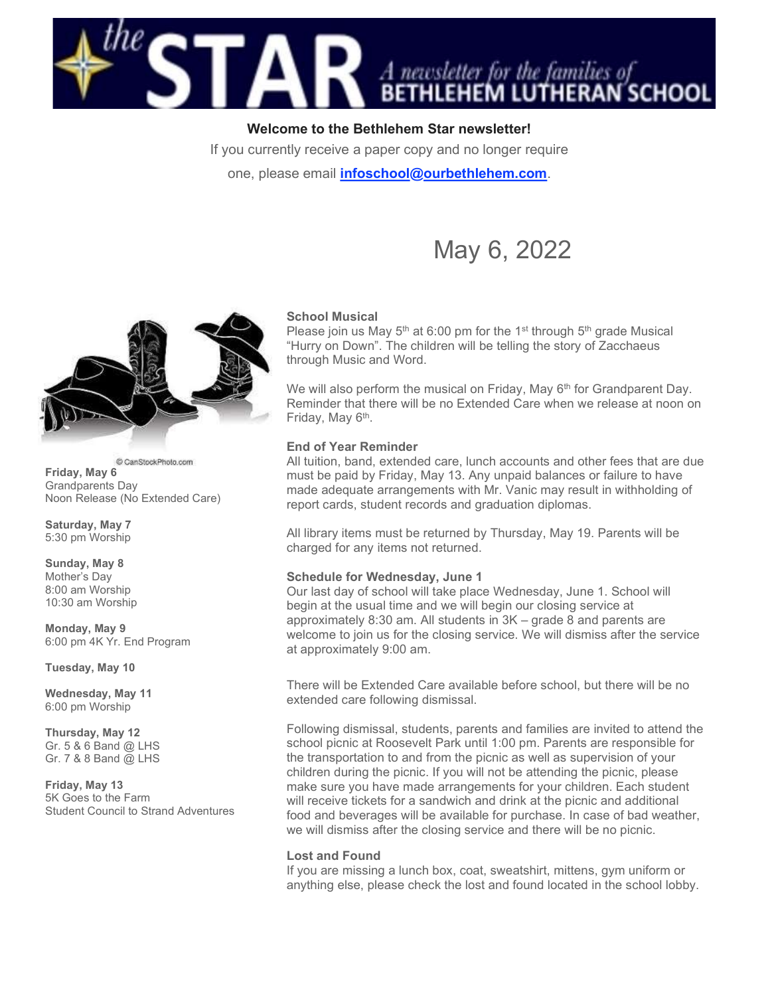

# Welcome to the Bethlehem Star newsletter!

If you currently receive a paper copy and no longer require

one, please email *infoschool@ourbethlehem.com*.

# May 6, 2022



C CanStockPhoto.com Friday, May 6 Grandparents Day Noon Release (No Extended Care)

Saturday, May 7 5:30 pm Worship

Sunday, May 8 Mother's Day 8:00 am Worship 10:30 am Worship

Monday, May 9 6:00 pm 4K Yr. End Program

Tuesday, May 10

Wednesday, May 11 6:00 pm Worship

Thursday, May 12 Gr. 5 & 6 Band @ LHS Gr. 7 & 8 Band @ LHS

Friday, May 13 5K Goes to the Farm Student Council to Strand Adventures

#### School Musical

Please join us May  $5<sup>th</sup>$  at 6:00 pm for the 1<sup>st</sup> through  $5<sup>th</sup>$  grade Musical "Hurry on Down". The children will be telling the story of Zacchaeus through Music and Word.

We will also perform the musical on Friday, May  $6<sup>th</sup>$  for Grandparent Day. Reminder that there will be no Extended Care when we release at noon on Friday, May 6<sup>th</sup>.

### End of Year Reminder

All tuition, band, extended care, lunch accounts and other fees that are due must be paid by Friday, May 13. Any unpaid balances or failure to have made adequate arrangements with Mr. Vanic may result in withholding of report cards, student records and graduation diplomas.

All library items must be returned by Thursday, May 19. Parents will be charged for any items not returned.

#### Schedule for Wednesday, June 1

Our last day of school will take place Wednesday, June 1. School will begin at the usual time and we will begin our closing service at approximately 8:30 am. All students in 3K – grade 8 and parents are welcome to join us for the closing service. We will dismiss after the service at approximately 9:00 am.

There will be Extended Care available before school, but there will be no extended care following dismissal.

Following dismissal, students, parents and families are invited to attend the school picnic at Roosevelt Park until 1:00 pm. Parents are responsible for the transportation to and from the picnic as well as supervision of your children during the picnic. If you will not be attending the picnic, please make sure you have made arrangements for your children. Each student will receive tickets for a sandwich and drink at the picnic and additional food and beverages will be available for purchase. In case of bad weather, we will dismiss after the closing service and there will be no picnic.

#### Lost and Found

If you are missing a lunch box, coat, sweatshirt, mittens, gym uniform or anything else, please check the lost and found located in the school lobby.